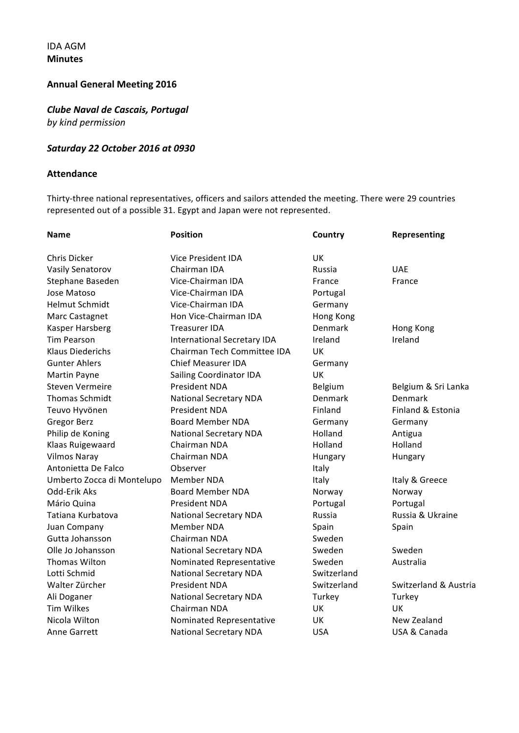## IDA AGM **Minutes**

# **Annual General Meeting 2016**

# *Clube Naval de Cascais, Portugal by kind permission*

## *Saturday 22 October 2016 at 0930*

### **Attendance**

Thirty-three national representatives, officers and sailors attended the meeting. There were 29 countries represented out of a possible 31. Egypt and Japan were not represented.

| <b>Name</b>                | <b>Position</b>                | Country     | <b>Representing</b>   |
|----------------------------|--------------------------------|-------------|-----------------------|
| <b>Chris Dicker</b>        | <b>Vice President IDA</b>      | <b>UK</b>   |                       |
| <b>Vasily Senatorov</b>    | Chairman IDA                   | Russia      | <b>UAE</b>            |
| Stephane Baseden           | Vice-Chairman IDA              | France      | France                |
| Jose Matoso                | Vice-Chairman IDA              | Portugal    |                       |
| Helmut Schmidt             | Vice-Chairman IDA              | Germany     |                       |
| Marc Castagnet             | Hon Vice-Chairman IDA          | Hong Kong   |                       |
| Kasper Harsberg            | <b>Treasurer IDA</b>           | Denmark     | Hong Kong             |
| <b>Tim Pearson</b>         | International Secretary IDA    | Ireland     | Ireland               |
| <b>Klaus Diederichs</b>    | Chairman Tech Committee IDA    | UK          |                       |
| <b>Gunter Ahlers</b>       | <b>Chief Measurer IDA</b>      | Germany     |                       |
| Martin Payne               | <b>Sailing Coordinator IDA</b> | UK          |                       |
| <b>Steven Vermeire</b>     | <b>President NDA</b>           | Belgium     | Belgium & Sri Lanka   |
| <b>Thomas Schmidt</b>      | <b>National Secretary NDA</b>  | Denmark     | Denmark               |
| Teuvo Hyvönen              | President NDA                  | Finland     | Finland & Estonia     |
| <b>Gregor Berz</b>         | <b>Board Member NDA</b>        | Germany     | Germany               |
| Philip de Koning           | <b>National Secretary NDA</b>  | Holland     | Antigua               |
| Klaas Ruigewaard           | Chairman NDA                   | Holland     | Holland               |
| <b>Vilmos Naray</b>        | Chairman NDA                   | Hungary     | Hungary               |
| Antonietta De Falco        | Observer                       | Italy       |                       |
| Umberto Zocca di Montelupo | Member NDA                     | Italy       | Italy & Greece        |
| Odd-Erik Aks               | <b>Board Member NDA</b>        | Norway      | Norway                |
| Mário Quina                | President NDA                  | Portugal    | Portugal              |
| Tatiana Kurbatova          | <b>National Secretary NDA</b>  | Russia      | Russia & Ukraine      |
| Juan Company               | <b>Member NDA</b>              | Spain       | Spain                 |
| Gutta Johansson            | Chairman NDA                   | Sweden      |                       |
| Olle Jo Johansson          | <b>National Secretary NDA</b>  | Sweden      | Sweden                |
| Thomas Wilton              | Nominated Representative       | Sweden      | Australia             |
| Lotti Schmid               | <b>National Secretary NDA</b>  | Switzerland |                       |
| Walter Zürcher             | <b>President NDA</b>           | Switzerland | Switzerland & Austria |
| Ali Doganer                | <b>National Secretary NDA</b>  | Turkey      | Turkey                |
| <b>Tim Wilkes</b>          | Chairman NDA                   | UK          | UK                    |
| Nicola Wilton              | Nominated Representative       | UK          | New Zealand           |
| <b>Anne Garrett</b>        | <b>National Secretary NDA</b>  | <b>USA</b>  | USA & Canada          |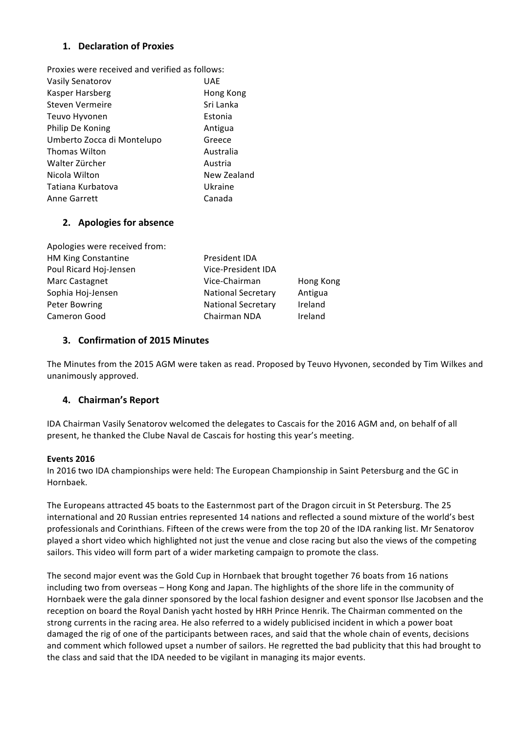## **1. Declaration of Proxies**

| Proxies were received and verified as follows: |
|------------------------------------------------|
| UAE                                            |
| Hong Kong                                      |
| Sri Lanka                                      |
| Estonia                                        |
| Antigua                                        |
| Greece                                         |
| Australia                                      |
| Austria                                        |
| New Zealand                                    |
| Ukraine                                        |
| Canada                                         |
|                                                |

## **2.** Apologies for absence

| Apologies were received from: |                           |           |  |
|-------------------------------|---------------------------|-----------|--|
| <b>HM King Constantine</b>    | President IDA             |           |  |
| Poul Ricard Hoj-Jensen        | <b>Vice-President IDA</b> |           |  |
| Marc Castagnet                | Vice-Chairman             | Hong Kong |  |
| Sophia Hoj-Jensen             | <b>National Secretary</b> | Antigua   |  |
| Peter Bowring                 | <b>National Secretary</b> | Ireland   |  |
| Cameron Good                  | Chairman NDA              | Ireland   |  |

### **3. Confirmation of 2015 Minutes**

The Minutes from the 2015 AGM were taken as read. Proposed by Teuvo Hyvonen, seconded by Tim Wilkes and unanimously approved.

## **4. Chairman's Report**

IDA Chairman Vasily Senatorov welcomed the delegates to Cascais for the 2016 AGM and, on behalf of all present, he thanked the Clube Naval de Cascais for hosting this year's meeting.

### **Events 2016**

In 2016 two IDA championships were held: The European Championship in Saint Petersburg and the GC in Hornbaek.

The Europeans attracted 45 boats to the Easternmost part of the Dragon circuit in St Petersburg. The 25 international and 20 Russian entries represented 14 nations and reflected a sound mixture of the world's best professionals and Corinthians. Fifteen of the crews were from the top 20 of the IDA ranking list. Mr Senatorov played a short video which highlighted not just the venue and close racing but also the views of the competing sailors. This video will form part of a wider marketing campaign to promote the class.

The second major event was the Gold Cup in Hornbaek that brought together 76 boats from 16 nations including two from overseas – Hong Kong and Japan. The highlights of the shore life in the community of Hornbaek were the gala dinner sponsored by the local fashion designer and event sponsor Ilse Jacobsen and the reception on board the Royal Danish yacht hosted by HRH Prince Henrik. The Chairman commented on the strong currents in the racing area. He also referred to a widely publicised incident in which a power boat damaged the rig of one of the participants between races, and said that the whole chain of events, decisions and comment which followed upset a number of sailors. He regretted the bad publicity that this had brought to the class and said that the IDA needed to be vigilant in managing its major events.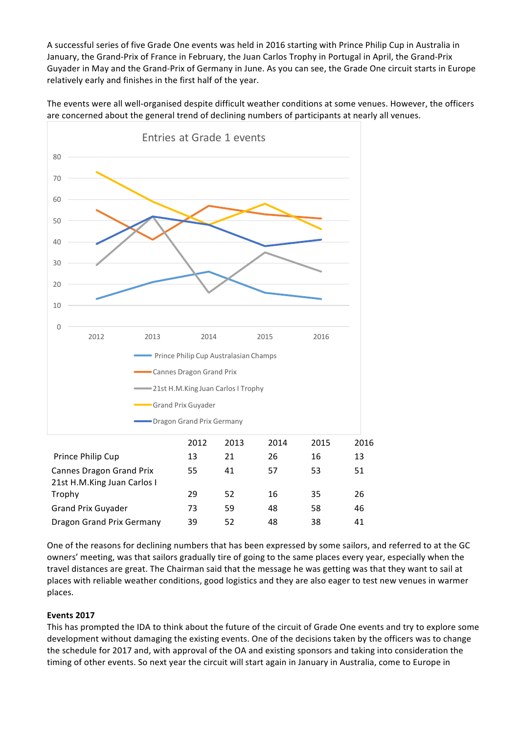A successful series of five Grade One events was held in 2016 starting with Prince Philip Cup in Australia in January, the Grand-Prix of France in February, the Juan Carlos Trophy in Portugal in April, the Grand-Prix Guyader in May and the Grand-Prix of Germany in June. As you can see, the Grade One circuit starts in Europe relatively early and finishes in the first half of the year.

The events were all well-organised despite difficult weather conditions at some venues. However, the officers are concerned about the general trend of declining numbers of participants at nearly all venues.



One of the reasons for declining numbers that has been expressed by some sailors, and referred to at the GC owners' meeting, was that sailors gradually tire of going to the same places every year, especially when the travel distances are great. The Chairman said that the message he was getting was that they want to sail at places with reliable weather conditions, good logistics and they are also eager to test new venues in warmer places. 

## **Events 2017**

This has prompted the IDA to think about the future of the circuit of Grade One events and try to explore some development without damaging the existing events. One of the decisions taken by the officers was to change the schedule for 2017 and, with approval of the OA and existing sponsors and taking into consideration the timing of other events. So next year the circuit will start again in January in Australia, come to Europe in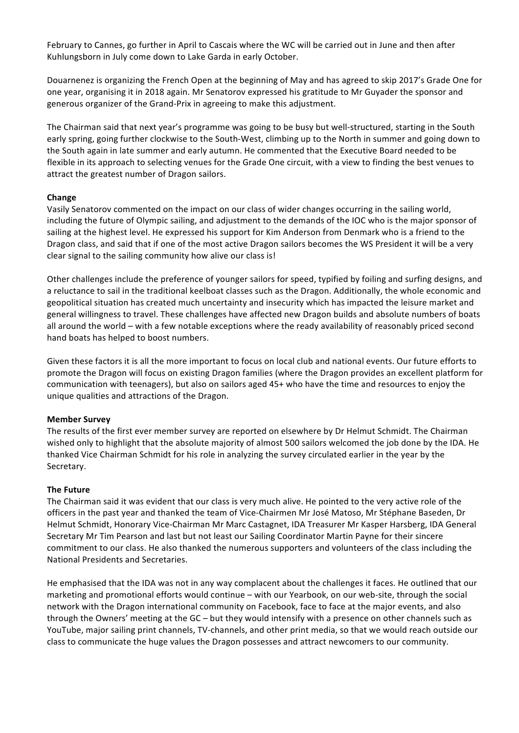February to Cannes, go further in April to Cascais where the WC will be carried out in June and then after Kuhlungsborn in July come down to Lake Garda in early October.

Douarnenez is organizing the French Open at the beginning of May and has agreed to skip 2017's Grade One for one year, organising it in 2018 again. Mr Senatorov expressed his gratitude to Mr Guyader the sponsor and generous organizer of the Grand-Prix in agreeing to make this adjustment.

The Chairman said that next year's programme was going to be busy but well-structured, starting in the South early spring, going further clockwise to the South-West, climbing up to the North in summer and going down to the South again in late summer and early autumn. He commented that the Executive Board needed to be flexible in its approach to selecting venues for the Grade One circuit, with a view to finding the best venues to attract the greatest number of Dragon sailors.

### **Change**

Vasily Senatorov commented on the impact on our class of wider changes occurring in the sailing world, including the future of Olympic sailing, and adjustment to the demands of the IOC who is the major sponsor of sailing at the highest level. He expressed his support for Kim Anderson from Denmark who is a friend to the Dragon class, and said that if one of the most active Dragon sailors becomes the WS President it will be a very clear signal to the sailing community how alive our class is!

Other challenges include the preference of younger sailors for speed, typified by foiling and surfing designs, and a reluctance to sail in the traditional keelboat classes such as the Dragon. Additionally, the whole economic and geopolitical situation has created much uncertainty and insecurity which has impacted the leisure market and general willingness to travel. These challenges have affected new Dragon builds and absolute numbers of boats all around the world – with a few notable exceptions where the ready availability of reasonably priced second hand boats has helped to boost numbers.

Given these factors it is all the more important to focus on local club and national events. Our future efforts to promote the Dragon will focus on existing Dragon families (where the Dragon provides an excellent platform for communication with teenagers), but also on sailors aged 45+ who have the time and resources to enjoy the unique qualities and attractions of the Dragon.

### **Member Survey**

The results of the first ever member survey are reported on elsewhere by Dr Helmut Schmidt. The Chairman wished only to highlight that the absolute majority of almost 500 sailors welcomed the job done by the IDA. He thanked Vice Chairman Schmidt for his role in analyzing the survey circulated earlier in the year by the Secretary. 

### **The Future**

The Chairman said it was evident that our class is very much alive. He pointed to the very active role of the officers in the past year and thanked the team of Vice-Chairmen Mr José Matoso, Mr Stéphane Baseden, Dr Helmut Schmidt, Honorary Vice-Chairman Mr Marc Castagnet, IDA Treasurer Mr Kasper Harsberg, IDA General Secretary Mr Tim Pearson and last but not least our Sailing Coordinator Martin Payne for their sincere commitment to our class. He also thanked the numerous supporters and volunteers of the class including the National Presidents and Secretaries.

He emphasised that the IDA was not in any way complacent about the challenges it faces. He outlined that our marketing and promotional efforts would continue – with our Yearbook, on our web-site, through the social network with the Dragon international community on Facebook, face to face at the major events, and also through the Owners' meeting at the  $GC$  – but they would intensify with a presence on other channels such as YouTube, major sailing print channels, TV-channels, and other print media, so that we would reach outside our class to communicate the huge values the Dragon possesses and attract newcomers to our community.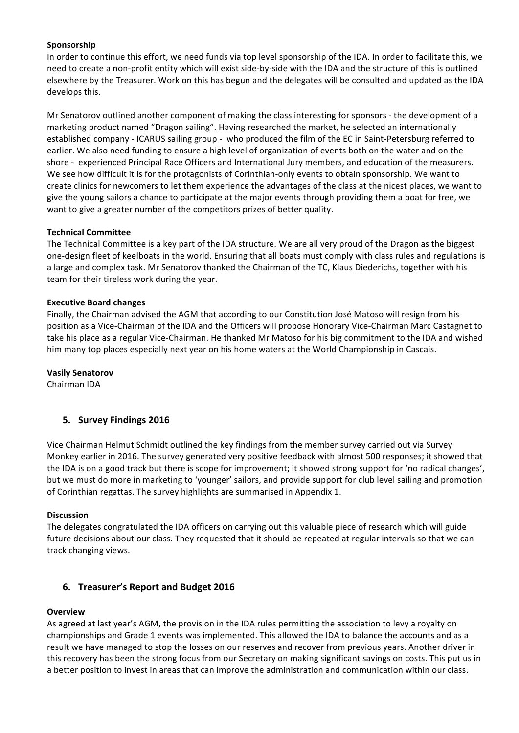### **Sponsorship**

In order to continue this effort, we need funds via top level sponsorship of the IDA. In order to facilitate this, we need to create a non-profit entity which will exist side-by-side with the IDA and the structure of this is outlined elsewhere by the Treasurer. Work on this has begun and the delegates will be consulted and updated as the IDA develops this.

Mr Senatorov outlined another component of making the class interesting for sponsors - the development of a marketing product named "Dragon sailing". Having researched the market, he selected an internationally established company - ICARUS sailing group - who produced the film of the EC in Saint-Petersburg referred to earlier. We also need funding to ensure a high level of organization of events both on the water and on the shore - experienced Principal Race Officers and International Jury members, and education of the measurers. We see how difficult it is for the protagonists of Corinthian-only events to obtain sponsorship. We want to create clinics for newcomers to let them experience the advantages of the class at the nicest places, we want to give the young sailors a chance to participate at the major events through providing them a boat for free, we want to give a greater number of the competitors prizes of better quality.

### **Technical Committee**

The Technical Committee is a key part of the IDA structure. We are all very proud of the Dragon as the biggest one-design fleet of keelboats in the world. Ensuring that all boats must comply with class rules and regulations is a large and complex task. Mr Senatorov thanked the Chairman of the TC, Klaus Diederichs, together with his team for their tireless work during the year.

### **Executive Board changes**

Finally, the Chairman advised the AGM that according to our Constitution José Matoso will resign from his position as a Vice-Chairman of the IDA and the Officers will propose Honorary Vice-Chairman Marc Castagnet to take his place as a regular Vice-Chairman. He thanked Mr Matoso for his big commitment to the IDA and wished him many top places especially next year on his home waters at the World Championship in Cascais.

### **Vasily Senatorov**

Chairman IDA

## **5. Survey Findings 2016**

Vice Chairman Helmut Schmidt outlined the key findings from the member survey carried out via Survey Monkey earlier in 2016. The survey generated very positive feedback with almost 500 responses; it showed that the IDA is on a good track but there is scope for improvement; it showed strong support for 'no radical changes', but we must do more in marketing to 'younger' sailors, and provide support for club level sailing and promotion of Corinthian regattas. The survey highlights are summarised in Appendix 1.

### **Discussion**

The delegates congratulated the IDA officers on carrying out this valuable piece of research which will guide future decisions about our class. They requested that it should be repeated at regular intervals so that we can track changing views.

## **6. Treasurer's Report and Budget 2016**

### **Overview**

As agreed at last year's AGM, the provision in the IDA rules permitting the association to levy a royalty on championships and Grade 1 events was implemented. This allowed the IDA to balance the accounts and as a result we have managed to stop the losses on our reserves and recover from previous years. Another driver in this recovery has been the strong focus from our Secretary on making significant savings on costs. This put us in a better position to invest in areas that can improve the administration and communication within our class.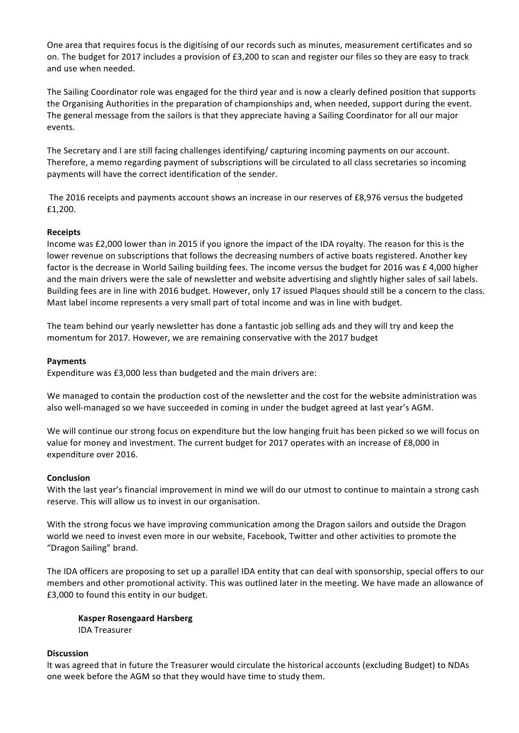One area that requires focus is the digitising of our records such as minutes, measurement certificates and so on. The budget for 2017 includes a provision of £3,200 to scan and register our files so they are easy to track and use when needed.

The Sailing Coordinator role was engaged for the third year and is now a clearly defined position that supports the Organising Authorities in the preparation of championships and, when needed, support during the event. The general message from the sailors is that they appreciate having a Sailing Coordinator for all our major events. 

The Secretary and I are still facing challenges identifying/ capturing incoming payments on our account. Therefore, a memo regarding payment of subscriptions will be circulated to all class secretaries so incoming payments will have the correct identification of the sender.

The 2016 receipts and payments account shows an increase in our reserves of £8,976 versus the budgeted £1,200. 

### **Receipts**

Income was £2,000 lower than in 2015 if you ignore the impact of the IDA royalty. The reason for this is the lower revenue on subscriptions that follows the decreasing numbers of active boats registered. Another key factor is the decrease in World Sailing building fees. The income versus the budget for 2016 was £ 4,000 higher and the main drivers were the sale of newsletter and website advertising and slightly higher sales of sail labels. Building fees are in line with 2016 budget. However, only 17 issued Plaques should still be a concern to the class. Mast label income represents a very small part of total income and was in line with budget.

The team behind our yearly newsletter has done a fantastic job selling ads and they will try and keep the momentum for 2017. However, we are remaining conservative with the 2017 budget

#### **Payments**

Expenditure was £3,000 less than budgeted and the main drivers are:

We managed to contain the production cost of the newsletter and the cost for the website administration was also well-managed so we have succeeded in coming in under the budget agreed at last year's AGM.

We will continue our strong focus on expenditure but the low hanging fruit has been picked so we will focus on value for money and investment. The current budget for 2017 operates with an increase of £8,000 in expenditure over 2016.

#### **Conclusion**

With the last year's financial improvement in mind we will do our utmost to continue to maintain a strong cash reserve. This will allow us to invest in our organisation.

With the strong focus we have improving communication among the Dragon sailors and outside the Dragon world we need to invest even more in our website, Facebook, Twitter and other activities to promote the "Dragon Sailing" brand.

The IDA officers are proposing to set up a parallel IDA entity that can deal with sponsorship, special offers to our members and other promotional activity. This was outlined later in the meeting. We have made an allowance of £3,000 to found this entity in our budget.

**Kasper Rosengaard Harsberg** IDA Treasurer

#### **Discussion**

It was agreed that in future the Treasurer would circulate the historical accounts (excluding Budget) to NDAs one week before the AGM so that they would have time to study them.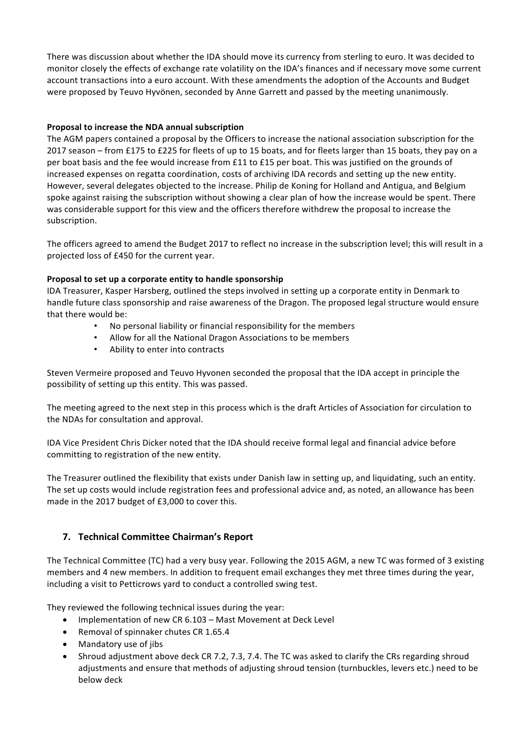There was discussion about whether the IDA should move its currency from sterling to euro. It was decided to monitor closely the effects of exchange rate volatility on the IDA's finances and if necessary move some current account transactions into a euro account. With these amendments the adoption of the Accounts and Budget were proposed by Teuvo Hyvönen, seconded by Anne Garrett and passed by the meeting unanimously.

## **Proposal to increase the NDA annual subscription**

The AGM papers contained a proposal by the Officers to increase the national association subscription for the 2017 season – from £175 to £225 for fleets of up to 15 boats, and for fleets larger than 15 boats, they pay on a per boat basis and the fee would increase from £11 to £15 per boat. This was justified on the grounds of increased expenses on regatta coordination, costs of archiving IDA records and setting up the new entity. However, several delegates objected to the increase. Philip de Koning for Holland and Antigua, and Belgium spoke against raising the subscription without showing a clear plan of how the increase would be spent. There was considerable support for this view and the officers therefore withdrew the proposal to increase the subscription.

The officers agreed to amend the Budget 2017 to reflect no increase in the subscription level; this will result in a projected loss of £450 for the current year.

### **Proposal to set up a corporate entity to handle sponsorship**

IDA Treasurer, Kasper Harsberg, outlined the steps involved in setting up a corporate entity in Denmark to handle future class sponsorship and raise awareness of the Dragon. The proposed legal structure would ensure that there would be:

- No personal liability or financial responsibility for the members
- Allow for all the National Dragon Associations to be members
- Ability to enter into contracts

Steven Vermeire proposed and Teuvo Hyvonen seconded the proposal that the IDA accept in principle the possibility of setting up this entity. This was passed.

The meeting agreed to the next step in this process which is the draft Articles of Association for circulation to the NDAs for consultation and approval.

IDA Vice President Chris Dicker noted that the IDA should receive formal legal and financial advice before committing to registration of the new entity.

The Treasurer outlined the flexibility that exists under Danish law in setting up, and liquidating, such an entity. The set up costs would include registration fees and professional advice and, as noted, an allowance has been made in the 2017 budget of  $£3,000$  to cover this.

## **7. Technical Committee Chairman's Report**

The Technical Committee (TC) had a very busy year. Following the 2015 AGM, a new TC was formed of 3 existing members and 4 new members. In addition to frequent email exchanges they met three times during the year, including a visit to Petticrows yard to conduct a controlled swing test.

They reviewed the following technical issues during the year:

- Implementation of new CR 6.103 Mast Movement at Deck Level
- Removal of spinnaker chutes CR 1.65.4
- Mandatory use of jibs
- Shroud adjustment above deck CR 7.2, 7.3, 7.4. The TC was asked to clarify the CRs regarding shroud adjustments and ensure that methods of adjusting shroud tension (turnbuckles, levers etc.) need to be below deck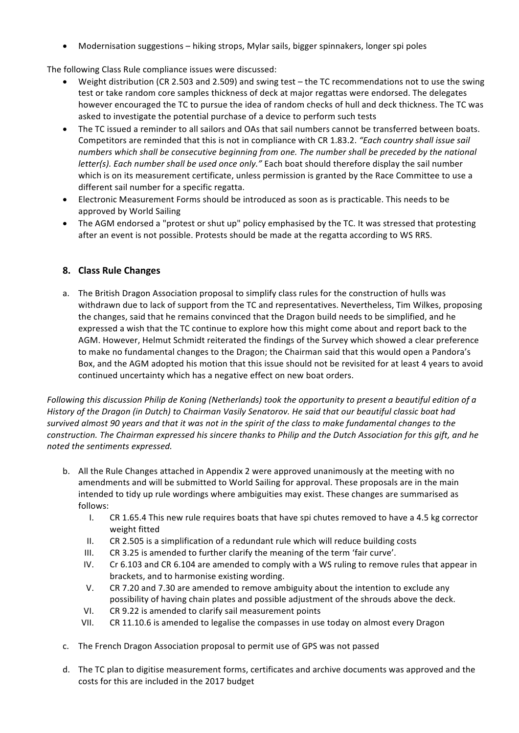Modernisation suggestions  $-$  hiking strops, Mylar sails, bigger spinnakers, longer spi poles

The following Class Rule compliance issues were discussed:

- Weight distribution (CR 2.503 and 2.509) and swing test the TC recommendations not to use the swing test or take random core samples thickness of deck at major regattas were endorsed. The delegates however encouraged the TC to pursue the idea of random checks of hull and deck thickness. The TC was asked to investigate the potential purchase of a device to perform such tests
- The TC issued a reminder to all sailors and OAs that sail numbers cannot be transferred between boats. Competitors are reminded that this is not in compliance with CR 1.83.2. "Each country shall issue sail numbers which shall be consecutive beginning from one. The number shall be preceded by the national *letter(s). Each number shall be used once only."* Each boat should therefore display the sail number which is on its measurement certificate, unless permission is granted by the Race Committee to use a different sail number for a specific regatta.
- Electronic Measurement Forms should be introduced as soon as is practicable. This needs to be approved by World Sailing
- The AGM endorsed a "protest or shut up" policy emphasised by the TC. It was stressed that protesting after an event is not possible. Protests should be made at the regatta according to WS RRS.

## **8. Class Rule Changes**

a. The British Dragon Association proposal to simplify class rules for the construction of hulls was withdrawn due to lack of support from the TC and representatives. Nevertheless, Tim Wilkes, proposing the changes, said that he remains convinced that the Dragon build needs to be simplified, and he expressed a wish that the TC continue to explore how this might come about and report back to the AGM. However, Helmut Schmidt reiterated the findings of the Survey which showed a clear preference to make no fundamental changes to the Dragon; the Chairman said that this would open a Pandora's Box, and the AGM adopted his motion that this issue should not be revisited for at least 4 years to avoid continued uncertainty which has a negative effect on new boat orders.

*Following this discussion Philip de Koning* (Netherlands) took the opportunity to present a beautiful edition of a *History* of the Dragon (in Dutch) to Chairman Vasily Senatorov. He said that our beautiful classic boat had survived almost 90 years and that it was not in the spirit of the class to make fundamental changes to the *construction.* The Chairman expressed his sincere thanks to Philip and the Dutch Association for this gift, and he *noted the sentiments expressed.*

- b. All the Rule Changes attached in Appendix 2 were approved unanimously at the meeting with no amendments and will be submitted to World Sailing for approval. These proposals are in the main intended to tidy up rule wordings where ambiguities may exist. These changes are summarised as follows:
	- I. CR 1.65.4 This new rule requires boats that have spi chutes removed to have a 4.5 kg corrector weight fitted
	- II. CR 2.505 is a simplification of a redundant rule which will reduce building costs
	- III.  $CR$  3.25 is amended to further clarify the meaning of the term 'fair curve'.
	- IV. Cr 6.103 and CR 6.104 are amended to comply with a WS ruling to remove rules that appear in brackets, and to harmonise existing wording.
	- V. CR 7.20 and 7.30 are amended to remove ambiguity about the intention to exclude any possibility of having chain plates and possible adjustment of the shrouds above the deck.
	- VI. CR 9.22 is amended to clarify sail measurement points
	- VII. CR 11.10.6 is amended to legalise the compasses in use today on almost every Dragon
- c. The French Dragon Association proposal to permit use of GPS was not passed
- d. The TC plan to digitise measurement forms, certificates and archive documents was approved and the costs for this are included in the 2017 budget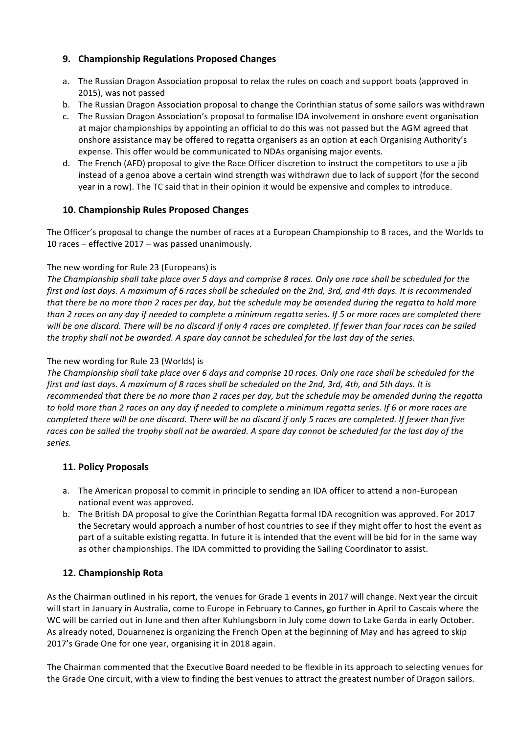# **9. Championship Regulations Proposed Changes**

- a. The Russian Dragon Association proposal to relax the rules on coach and support boats (approved in 2015), was not passed
- b. The Russian Dragon Association proposal to change the Corinthian status of some sailors was withdrawn
- c. The Russian Dragon Association's proposal to formalise IDA involvement in onshore event organisation at major championships by appointing an official to do this was not passed but the AGM agreed that onshore assistance may be offered to regatta organisers as an option at each Organising Authority's expense. This offer would be communicated to NDAs organising major events.
- d. The French (AFD) proposal to give the Race Officer discretion to instruct the competitors to use a jib instead of a genoa above a certain wind strength was withdrawn due to lack of support (for the second year in a row). The TC said that in their opinion it would be expensive and complex to introduce.

# **10. Championship Rules Proposed Changes**

The Officer's proposal to change the number of races at a European Championship to 8 races, and the Worlds to 10 races – effective  $2017 -$  was passed unanimously.

## The new wording for Rule 23 (Europeans) is

The Championship shall take place over 5 days and comprise 8 races. Only one race shall be scheduled for the *first and last days.* A maximum of 6 races shall be scheduled on the 2nd, 3rd, and 4th days. It is recommended *that* there be no more than 2 races per day, but the schedule may be amended during the regatta to hold more *than* 2 races on any day if needed to complete a minimum regatta series. If 5 or more races are completed there will be one discard. There will be no discard if only 4 races are completed. If fewer than four races can be sailed *the trophy shall not be awarded. A spare day cannot be scheduled for the last day of the series.* 

## The new wording for Rule 23 (Worlds) is

The Championship shall take place over 6 days and comprise 10 races. Only one race shall be scheduled for the *first and last days. A maximum of 8 races shall be scheduled on the 2nd, 3rd, 4th, and 5th days. It is* recommended that there be no more than 2 races per day, but the schedule may be amended during the regatta *to* hold more than 2 races on any day if needed to complete a minimum regatta series. If 6 or more races are *completed there will be one discard. There will be no discard if only 5 races are completed. If fewer than five* races can be sailed the trophy shall not be awarded. A spare day cannot be scheduled for the last day of the *series.*

# **11. Policy Proposals**

- a. The American proposal to commit in principle to sending an IDA officer to attend a non-European national event was approved.
- b. The British DA proposal to give the Corinthian Regatta formal IDA recognition was approved. For 2017 the Secretary would approach a number of host countries to see if they might offer to host the event as part of a suitable existing regatta. In future it is intended that the event will be bid for in the same way as other championships. The IDA committed to providing the Sailing Coordinator to assist.

# **12. Championship Rota**

As the Chairman outlined in his report, the venues for Grade 1 events in 2017 will change. Next year the circuit will start in January in Australia, come to Europe in February to Cannes, go further in April to Cascais where the WC will be carried out in June and then after Kuhlungsborn in July come down to Lake Garda in early October. As already noted, Douarnenez is organizing the French Open at the beginning of May and has agreed to skip 2017's Grade One for one year, organising it in 2018 again.

The Chairman commented that the Executive Board needed to be flexible in its approach to selecting venues for the Grade One circuit, with a view to finding the best venues to attract the greatest number of Dragon sailors.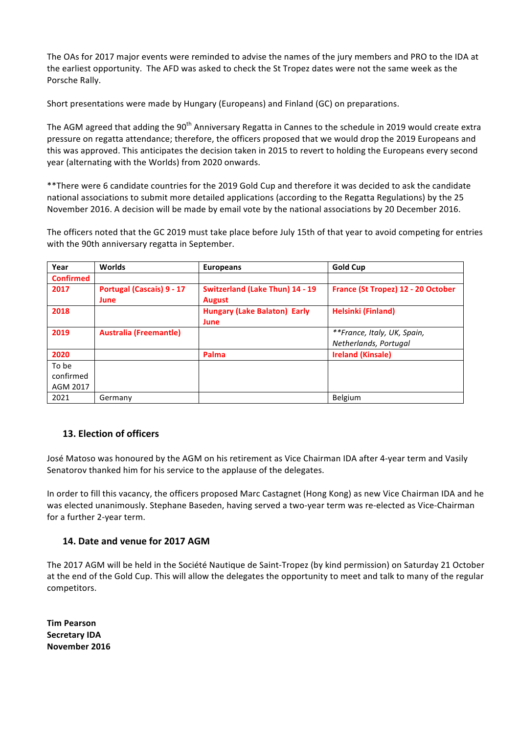The OAs for 2017 major events were reminded to advise the names of the jury members and PRO to the IDA at the earliest opportunity. The AFD was asked to check the St Tropez dates were not the same week as the Porsche Rally.

Short presentations were made by Hungary (Europeans) and Finland (GC) on preparations.

The AGM agreed that adding the 90<sup>th</sup> Anniversary Regatta in Cannes to the schedule in 2019 would create extra pressure on regatta attendance; therefore, the officers proposed that we would drop the 2019 Europeans and this was approved. This anticipates the decision taken in 2015 to revert to holding the Europeans every second year (alternating with the Worlds) from 2020 onwards.

\*\*There were 6 candidate countries for the 2019 Gold Cup and therefore it was decided to ask the candidate national associations to submit more detailed applications (according to the Regatta Regulations) by the 25 November 2016. A decision will be made by email vote by the national associations by 20 December 2016.

The officers noted that the GC 2019 must take place before July 15th of that year to avoid competing for entries with the 90th anniversary regatta in September.

| Year             | <b>Worlds</b>                    | <b>Europeans</b>                       | <b>Gold Cup</b>                    |
|------------------|----------------------------------|----------------------------------------|------------------------------------|
| <b>Confirmed</b> |                                  |                                        |                                    |
| 2017             | <b>Portugal (Cascais) 9 - 17</b> | <b>Switzerland (Lake Thun) 14 - 19</b> | France (St Tropez) 12 - 20 October |
|                  | June                             | <b>August</b>                          |                                    |
| 2018             |                                  | <b>Hungary (Lake Balaton) Early</b>    | <b>Helsinki (Finland)</b>          |
|                  |                                  | June                                   |                                    |
| 2019             | <b>Australia (Freemantle)</b>    |                                        | **France, Italy, UK, Spain,        |
|                  |                                  |                                        | Netherlands, Portugal              |
| 2020             |                                  | Palma                                  | <b>Ireland (Kinsale)</b>           |
| To be            |                                  |                                        |                                    |
| confirmed        |                                  |                                        |                                    |
| AGM 2017         |                                  |                                        |                                    |
| 2021             | Germany                          |                                        | Belgium                            |

## **13. Election of officers**

José Matoso was honoured by the AGM on his retirement as Vice Chairman IDA after 4-year term and Vasily Senatorov thanked him for his service to the applause of the delegates.

In order to fill this vacancy, the officers proposed Marc Castagnet (Hong Kong) as new Vice Chairman IDA and he was elected unanimously. Stephane Baseden, having served a two-year term was re-elected as Vice-Chairman for a further 2-year term.

## **14. Date and venue for 2017 AGM**

The 2017 AGM will be held in the Société Nautique de Saint-Tropez (by kind permission) on Saturday 21 October at the end of the Gold Cup. This will allow the delegates the opportunity to meet and talk to many of the regular competitors.

**Tim Pearson Secretary IDA November 2016**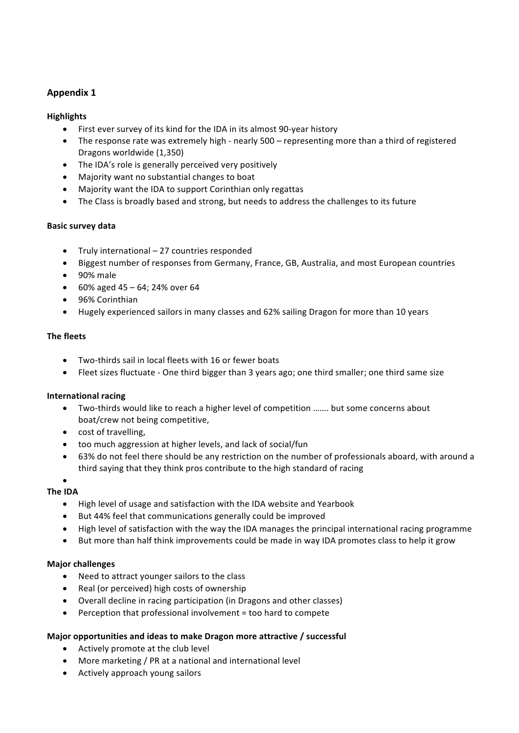# **Appendix 1**

## **Highlights**

- First ever survey of its kind for the IDA in its almost 90-year history
- The response rate was extremely high nearly 500 representing more than a third of registered Dragons worldwide (1,350)
- The IDA's role is generally perceived very positively
- Majority want no substantial changes to boat
- Majority want the IDA to support Corinthian only regattas
- The Class is broadly based and strong, but needs to address the challenges to its future

## **Basic survey data**

- Truly international  $-27$  countries responded
- Biggest number of responses from Germany, France, GB, Australia, and most European countries
- $\bullet$  90% male
- 60% aged  $45 64$ ; 24% over 64
- 96% Corinthian
- Hugely experienced sailors in many classes and 62% sailing Dragon for more than 10 years

## **The fleets**

- Two-thirds sail in local fleets with 16 or fewer boats
- Fleet sizes fluctuate One third bigger than 3 years ago; one third smaller; one third same size

## **International racing**

- Two-thirds would like to reach a higher level of competition ……. but some concerns about boat/crew not being competitive,
- cost of travelling,
- too much aggression at higher levels, and lack of social/fun
- 63% do not feel there should be any restriction on the number of professionals aboard, with around a third saying that they think pros contribute to the high standard of racing

# •

- **The IDA**
	- High level of usage and satisfaction with the IDA website and Yearbook
	- But 44% feel that communications generally could be improved
	- High level of satisfaction with the way the IDA manages the principal international racing programme
	- But more than half think improvements could be made in way IDA promotes class to help it grow

## **Major challenges**

- Need to attract younger sailors to the class
- Real (or perceived) high costs of ownership
- Overall decline in racing participation (in Dragons and other classes)
- Perception that professional involvement  $=$  too hard to compete

## **Major opportunities and ideas to make Dragon more attractive / successful**

- Actively promote at the club level
- More marketing / PR at a national and international level
- Actively approach young sailors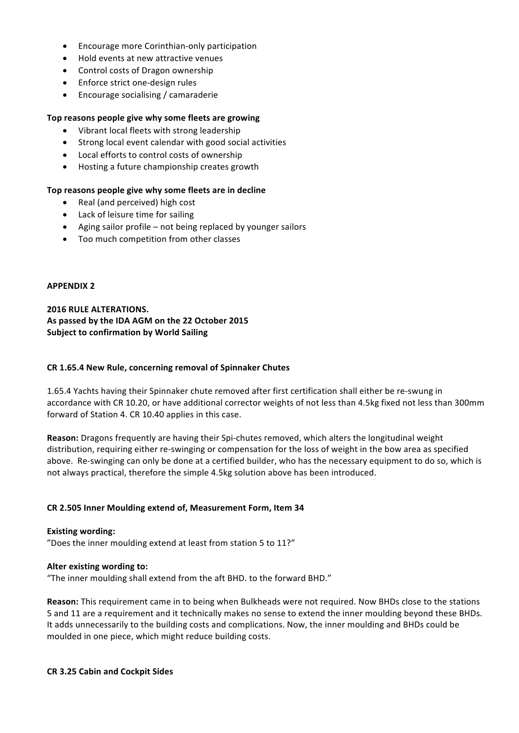- Encourage more Corinthian-only participation
- Hold events at new attractive venues
- Control costs of Dragon ownership
- Enforce strict one-design rules
- Encourage socialising / camaraderie

### Top reasons people give why some fleets are growing

- Vibrant local fleets with strong leadership
- Strong local event calendar with good social activities
- Local efforts to control costs of ownership
- Hosting a future championship creates growth

### Top reasons people give why some fleets are in decline

- Real (and perceived) high cost
- Lack of leisure time for sailing
- Aging sailor profile not being replaced by younger sailors
- Too much competition from other classes

### **APPENDIX 2**

**2016 RULE ALTERATIONS.** As passed by the IDA AGM on the 22 October 2015 **Subject to confirmation by World Sailing** 

#### **CR 1.65.4 New Rule, concerning removal of Spinnaker Chutes**

1.65.4 Yachts having their Spinnaker chute removed after first certification shall either be re-swung in accordance with CR 10.20, or have additional corrector weights of not less than 4.5kg fixed not less than 300mm forward of Station 4. CR 10.40 applies in this case.

**Reason:** Dragons frequently are having their Spi-chutes removed, which alters the longitudinal weight distribution, requiring either re-swinging or compensation for the loss of weight in the bow area as specified above. Re-swinging can only be done at a certified builder, who has the necessary equipment to do so, which is not always practical, therefore the simple 4.5kg solution above has been introduced.

### **CR 2.505 Inner Moulding extend of, Measurement Form, Item 34**

### **Existing wording:**

"Does the inner moulding extend at least from station 5 to  $11$ ?"

### **Alter existing wording to:**

"The inner moulding shall extend from the aft BHD, to the forward BHD."

**Reason:** This requirement came in to being when Bulkheads were not required. Now BHDs close to the stations 5 and 11 are a requirement and it technically makes no sense to extend the inner moulding beyond these BHDs. It adds unnecessarily to the building costs and complications. Now, the inner moulding and BHDs could be moulded in one piece, which might reduce building costs.

#### **CR 3.25 Cabin and Cockpit Sides**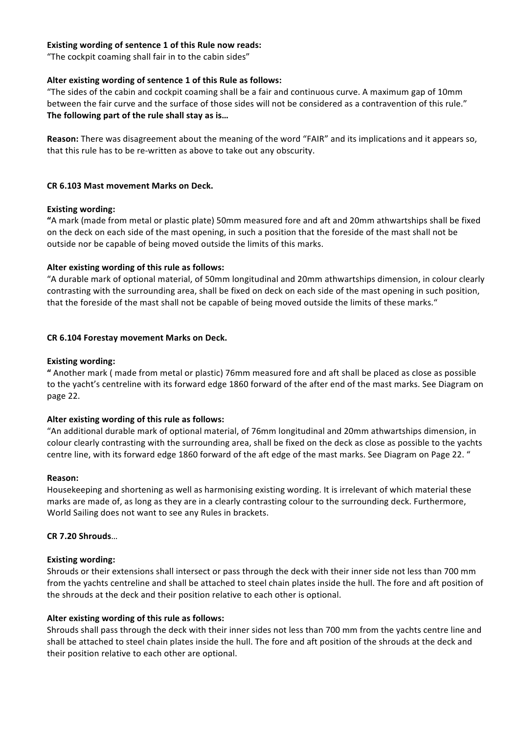### **Existing wording of sentence 1 of this Rule now reads:**

"The cockpit coaming shall fair in to the cabin sides"

### Alter existing wording of sentence 1 of this Rule as follows:

"The sides of the cabin and cockpit coaming shall be a fair and continuous curve. A maximum gap of 10mm between the fair curve and the surface of those sides will not be considered as a contravention of this rule." The following part of the rule shall stay as is...

**Reason:** There was disagreement about the meaning of the word "FAIR" and its implications and it appears so, that this rule has to be re-written as above to take out any obscurity.

### **CR 6.103 Mast movement Marks on Deck.**

#### **Existing wording:**

**"A** mark (made from metal or plastic plate) 50mm measured fore and aft and 20mm athwartships shall be fixed on the deck on each side of the mast opening, in such a position that the foreside of the mast shall not be outside nor be capable of being moved outside the limits of this marks.

#### Alter existing wording of this rule as follows:

"A durable mark of optional material, of 50mm longitudinal and 20mm athwartships dimension, in colour clearly contrasting with the surrounding area, shall be fixed on deck on each side of the mast opening in such position, that the foreside of the mast shall not be capable of being moved outside the limits of these marks."

#### **CR 6.104 Forestay movement Marks on Deck.**

#### **Existing wording:**

**"** Another mark ( made from metal or plastic) 76mm measured fore and aft shall be placed as close as possible to the yacht's centreline with its forward edge 1860 forward of the after end of the mast marks. See Diagram on page 22.

### Alter existing wording of this rule as follows:

"An additional durable mark of optional material, of 76mm longitudinal and 20mm athwartships dimension, in colour clearly contrasting with the surrounding area, shall be fixed on the deck as close as possible to the yachts centre line, with its forward edge 1860 forward of the aft edge of the mast marks. See Diagram on Page 22. "

#### **Reason:**

Housekeeping and shortening as well as harmonising existing wording. It is irrelevant of which material these marks are made of, as long as they are in a clearly contrasting colour to the surrounding deck. Furthermore, World Sailing does not want to see any Rules in brackets.

#### **CR 7.20 Shrouds**…

### **Existing wording:**

Shrouds or their extensions shall intersect or pass through the deck with their inner side not less than 700 mm from the yachts centreline and shall be attached to steel chain plates inside the hull. The fore and aft position of the shrouds at the deck and their position relative to each other is optional.

### Alter existing wording of this rule as follows:

Shrouds shall pass through the deck with their inner sides not less than 700 mm from the yachts centre line and shall be attached to steel chain plates inside the hull. The fore and aft position of the shrouds at the deck and their position relative to each other are optional.